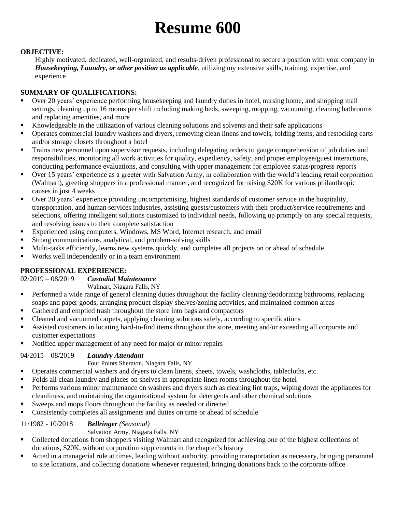# **Resume 600**

# **OBJECTIVE:**

Highly motivated, dedicated, well-organized, and results-driven professional to secure a position with your company in *Housekeeping, Laundry, or other position as applicable*, utilizing my extensive skills, training, expertise, and experience

# **SUMMARY OF QUALIFICATIONS:**

- Over 20 years' experience performing housekeeping and laundry duties in hotel, nursing home, and shopping mall settings, cleaning up to 16 rooms per shift including making beds, sweeping, mopping, vacuuming, cleaning bathrooms and replacing amenities, and more
- Knowledgeable in the utilization of various cleaning solutions and solvents and their safe applications
- Operates commercial laundry washers and dryers, removing clean linens and towels, folding items, and restocking carts and/or storage closets throughout a hotel
- **Trains new personnel upon supervisor requests, including delegating orders to gauge comprehension of job duties and** responsibilities, monitoring all work activities for quality, expediency, safety, and proper employee/guest interactions, conducting performance evaluations, and consulting with upper management for employee status/progress reports
- Over 15 years' experience as a greeter with Salvation Army, in collaboration with the world's leading retail corporation (Walmart), greeting shoppers in a professional manner, and recognized for raising \$20K for various philanthropic causes in just 4 weeks
- Over 20 years' experience providing uncompromising, highest standards of customer service in the hospitality, transportation, and human services industries, assisting guests/customers with their product/service requirements and selections, offering intelligent solutions customized to individual needs, following up promptly on any special requests, and resolving issues to their complete satisfaction
- Experienced using computers, Windows, MS Word, Internet research, and email
- Strong communications, analytical, and problem-solving skills
- Multi-tasks efficiently, learns new systems quickly, and completes all projects on or ahead of schedule
- Works well independently or in a team environment

## **PROFESSIONAL EXPERIENCE:**

## 02/2019 – 08/2019 *Custodial Maintenance*

#### Walmart, Niagara Falls, NY

- Performed a wide range of general cleaning duties throughout the facility cleaning/deodorizing bathrooms, replacing soaps and paper goods, arranging product display shelves/zoning activities, and maintained common areas
- Gathered and emptied trash throughout the store into bags and compactors
- Cleaned and vacuumed carpets, applying cleaning solutions safely, according to specifications
- Assisted customers in locating hard-to-find items throughout the store, meeting and/or exceeding all corporate and customer expectations
- Notified upper management of any need for major or minor repairs

## 04/2015 – 08/2019 *Laundry Attendant*

## Four Points Sheraton, Niagara Falls, NY

- Operates commercial washers and dryers to clean linens, sheets, towels, washcloths, tablecloths, etc.
- Folds all clean laundry and places on shelves in appropriate linen rooms throughout the hotel
- Performs various minor maintenance on washers and dryers such as cleaning lint traps, wiping down the appliances for cleanliness, and maintaining the organizational system for detergents and other chemical solutions
- Sweeps and mops floors throughout the facility as needed or directed
- Consistently completes all assignments and duties on time or ahead of schedule

## 11/1982 - 10/2018 *Bellringer (Seasonal)*

## Salvation Army, Niagara Falls, NY

- Collected donations from shoppers visiting Walmart and recognized for achieving one of the highest collections of donations, \$20K, without corporation supplements in the chapter's history
- Acted in a managerial role at times, leading without authority, providing transportation as necessary, bringing personnel to site locations, and collecting donations whenever requested, bringing donations back to the corporate office